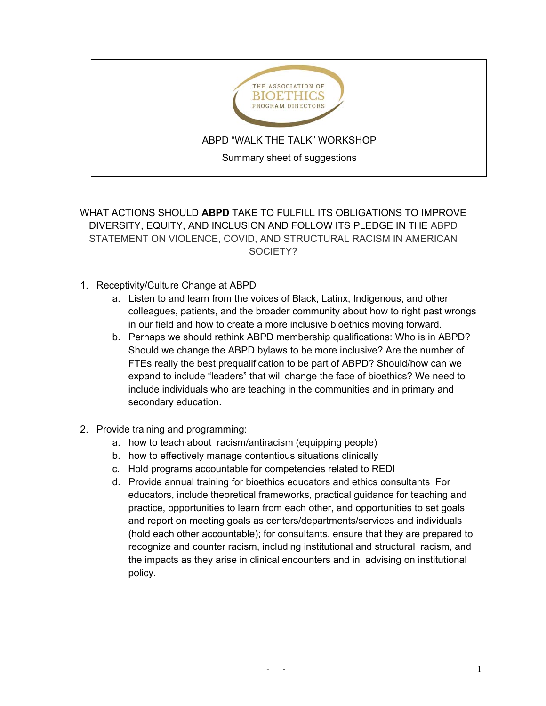

# WHAT ACTIONS SHOULD **ABPD** TAKE TO FULFILL ITS OBLIGATIONS TO IMPROVE DIVERSITY, EQUITY, AND INCLUSION AND FOLLOW ITS PLEDGE IN THE ABPD STATEMENT ON VIOLENCE, COVID, AND STRUCTURAL RACISM IN AMERICAN SOCIETY?

### 1. Receptivity/Culture Change at ABPD

- a. Listen to and learn from the voices of Black, Latinx, Indigenous, and other colleagues, patients, and the broader community about how to right past wrongs in our field and how to create a more inclusive bioethics moving forward.
- b. Perhaps we should rethink ABPD membership qualifications: Who is in ABPD? Should we change the ABPD bylaws to be more inclusive? Are the number of FTEs really the best prequalification to be part of ABPD? Should/how can we expand to include "leaders" that will change the face of bioethics? We need to include individuals who are teaching in the communities and in primary and secondary education.

### 2. Provide training and programming:

- a. how to teach about racism/antiracism (equipping people)
- b. how to effectively manage contentious situations clinically
- c. Hold programs accountable for competencies related to REDI
- d. Provide annual training for bioethics educators and ethics consultants For educators, include theoretical frameworks, practical guidance for teaching and practice, opportunities to learn from each other, and opportunities to set goals and report on meeting goals as centers/departments/services and individuals (hold each other accountable); for consultants, ensure that they are prepared to recognize and counter racism, including institutional and structural racism, and the impacts as they arise in clinical encounters and in advising on institutional policy.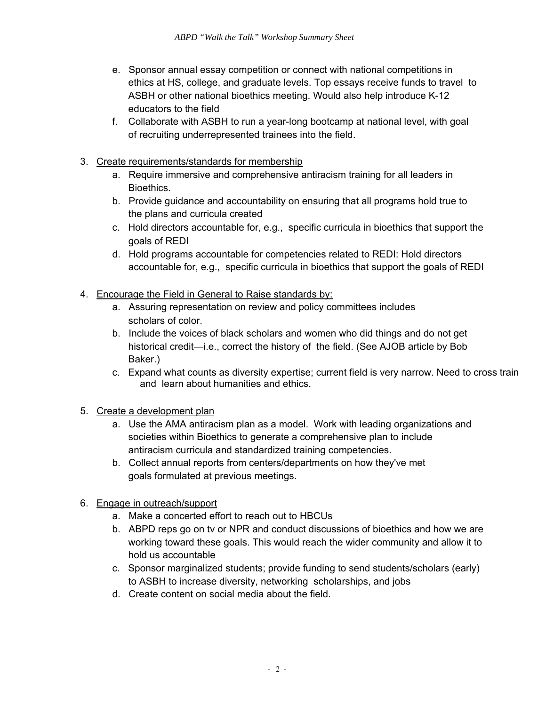- e. Sponsor annual essay competition or connect with national competitions in ethics at HS, college, and graduate levels. Top essays receive funds to travel to ASBH or other national bioethics meeting. Would also help introduce K-12 educators to the field
- f. Collaborate with ASBH to run a year-long bootcamp at national level, with goal of recruiting underrepresented trainees into the field.
- 3. Create requirements/standards for membership
	- a. Require immersive and comprehensive antiracism training for all leaders in Bioethics.
	- b. Provide guidance and accountability on ensuring that all programs hold true to the plans and curricula created
	- c. Hold directors accountable for, e.g., specific curricula in bioethics that support the goals of REDI
	- d. Hold programs accountable for competencies related to REDI: Hold directors accountable for, e.g., specific curricula in bioethics that support the goals of REDI
- 4. Encourage the Field in General to Raise standards by:
	- a. Assuring representation on review and policy committees includes scholars of color.
	- b. Include the voices of black scholars and women who did things and do not get historical credit—i.e., correct the history of the field. (See AJOB article by Bob Baker.)
	- c. Expand what counts as diversity expertise; current field is very narrow. Need to cross train and learn about humanities and ethics.
- 5. Create a development plan
	- a. Use the AMA antiracism plan as a model. Work with leading organizations and societies within Bioethics to generate a comprehensive plan to include antiracism curricula and standardized training competencies.
	- b. Collect annual reports from centers/departments on how they've met goals formulated at previous meetings.
- 6. Engage in outreach/support
	- a. Make a concerted effort to reach out to HBCUs
	- b. ABPD reps go on tv or NPR and conduct discussions of bioethics and how we are working toward these goals. This would reach the wider community and allow it to hold us accountable
	- c. Sponsor marginalized students; provide funding to send students/scholars (early) to ASBH to increase diversity, networking scholarships, and jobs
	- d. Create content on social media about the field.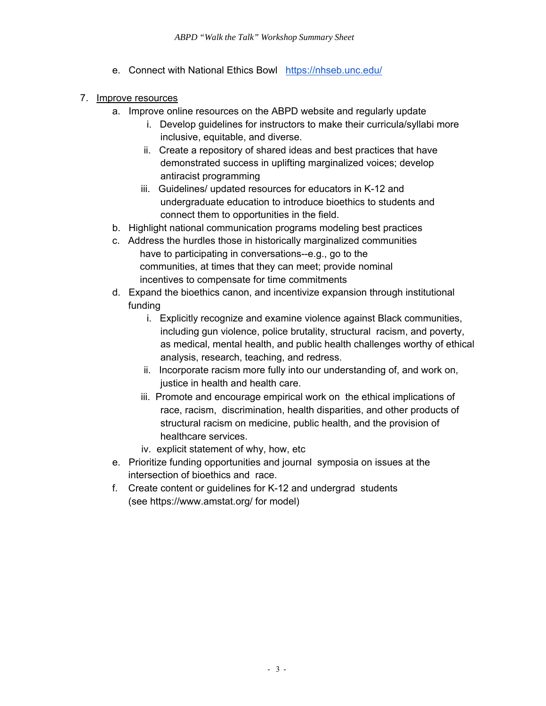e. Connect with National Ethics Bowl <https://nhseb.unc.edu/>

### 7. Improve resources

- a. Improve online resources on the ABPD website and regularly update
	- i. Develop guidelines for instructors to make their curricula/syllabi more inclusive, equitable, and diverse.
	- ii. Create a repository of shared ideas and best practices that have demonstrated success in uplifting marginalized voices; develop antiracist programming
	- iii. Guidelines/ updated resources for educators in K-12 and undergraduate education to introduce bioethics to students and connect them to opportunities in the field.
- b. Highlight national communication programs modeling best practices
- c. Address the hurdles those in historically marginalized communities have to participating in conversations--e.g., go to the communities, at times that they can meet; provide nominal incentives to compensate for time commitments
- d. Expand the bioethics canon, and incentivize expansion through institutional funding
	- i. Explicitly recognize and examine violence against Black communities, including gun violence, police brutality, structural racism, and poverty, as medical, mental health, and public health challenges worthy of ethical analysis, research, teaching, and redress.
	- ii. Incorporate racism more fully into our understanding of, and work on, justice in health and health care.
	- iii. Promote and encourage empirical work on the ethical implications of race, racism, discrimination, health disparities, and other products of structural racism on medicine, public health, and the provision of healthcare services.
	- iv. explicit statement of why, how, etc
- e. Prioritize funding opportunities and journal symposia on issues at the intersection of bioethics and race.
- f. Create content or guidelines for K-12 and undergrad students (see https:[//www.amstat.org/](http://www.amstat.org/) for model)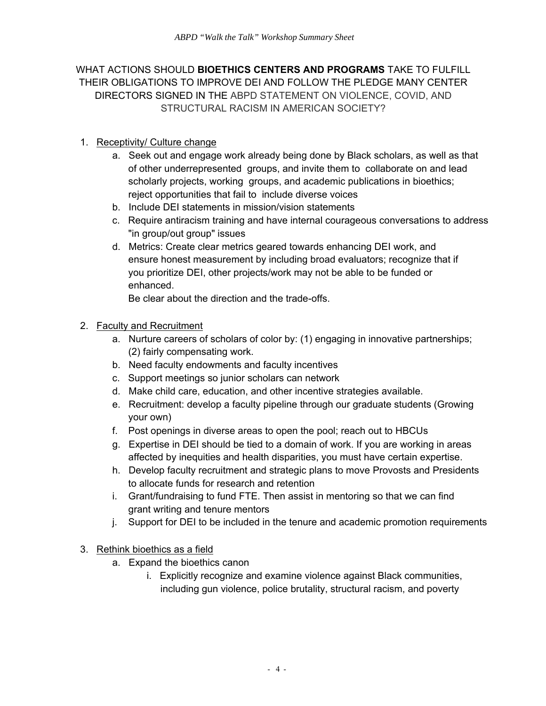WHAT ACTIONS SHOULD **BIOETHICS CENTERS AND PROGRAMS** TAKE TO FULFILL THEIR OBLIGATIONS TO IMPROVE DEI AND FOLLOW THE PLEDGE MANY CENTER DIRECTORS SIGNED IN THE ABPD STATEMENT ON VIOLENCE, COVID, AND STRUCTURAL RACISM IN AMERICAN SOCIETY?

## 1. Receptivity/ Culture change

- a. Seek out and engage work already being done by Black scholars, as well as that of other underrepresented groups, and invite them to collaborate on and lead scholarly projects, working groups, and academic publications in bioethics; reject opportunities that fail to include diverse voices
- b. Include DEI statements in mission/vision statements
- c. Require antiracism training and have internal courageous conversations to address "in group/out group" issues
- d. Metrics: Create clear metrics geared towards enhancing DEI work, and ensure honest measurement by including broad evaluators; recognize that if you prioritize DEI, other projects/work may not be able to be funded or enhanced.

Be clear about the direction and the trade-offs.

### 2. Faculty and Recruitment

- a. Nurture careers of scholars of color by: (1) engaging in innovative partnerships; (2) fairly compensating work.
- b. Need faculty endowments and faculty incentives
- c. Support meetings so junior scholars can network
- d. Make child care, education, and other incentive strategies available.
- e. Recruitment: develop a faculty pipeline through our graduate students (Growing your own)
- f. Post openings in diverse areas to open the pool; reach out to HBCUs
- g. Expertise in DEI should be tied to a domain of work. If you are working in areas affected by inequities and health disparities, you must have certain expertise.
- h. Develop faculty recruitment and strategic plans to move Provosts and Presidents to allocate funds for research and retention
- i. Grant/fundraising to fund FTE. Then assist in mentoring so that we can find grant writing and tenure mentors
- j. Support for DEI to be included in the tenure and academic promotion requirements

### 3. Rethink bioethics as a field

- a. Expand the bioethics canon
	- i. Explicitly recognize and examine violence against Black communities, including gun violence, police brutality, structural racism, and poverty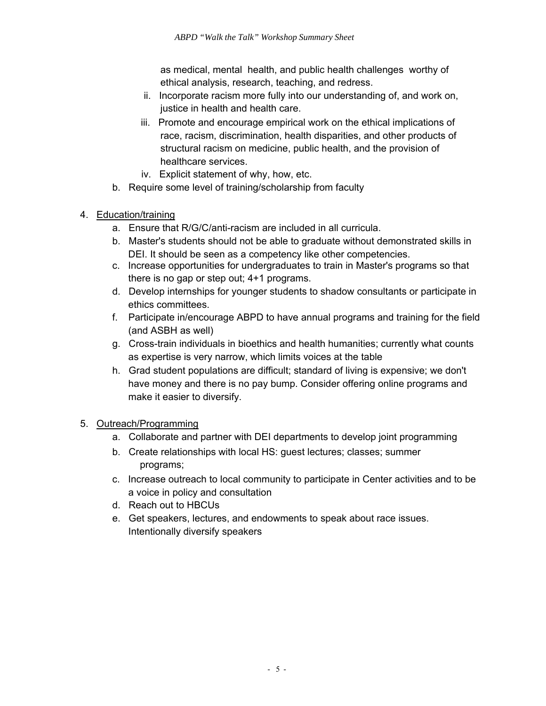as medical, mental health, and public health challenges worthy of ethical analysis, research, teaching, and redress.

- ii. Incorporate racism more fully into our understanding of, and work on, justice in health and health care.
- iii. Promote and encourage empirical work on the ethical implications of race, racism, discrimination, health disparities, and other products of structural racism on medicine, public health, and the provision of healthcare services.
- iv. Explicit statement of why, how, etc.
- b. Require some level of training/scholarship from faculty
- 4. Education/training
	- a. Ensure that R/G/C/anti-racism are included in all curricula.
	- b. Master's students should not be able to graduate without demonstrated skills in DEI. It should be seen as a competency like other competencies.
	- c. Increase opportunities for undergraduates to train in Master's programs so that there is no gap or step out; 4+1 programs.
	- d. Develop internships for younger students to shadow consultants or participate in ethics committees.
	- f. Participate in/encourage ABPD to have annual programs and training for the field (and ASBH as well)
	- g. Cross-train individuals in bioethics and health humanities; currently what counts as expertise is very narrow, which limits voices at the table
	- h. Grad student populations are difficult; standard of living is expensive; we don't have money and there is no pay bump. Consider offering online programs and make it easier to diversify.

# 5. Outreach/Programming

- a. Collaborate and partner with DEI departments to develop joint programming
- b. Create relationships with local HS: guest lectures; classes; summer programs;
- c. Increase outreach to local community to participate in Center activities and to be a voice in policy and consultation
- d. Reach out to HBCUs
- e. Get speakers, lectures, and endowments to speak about race issues. Intentionally diversify speakers